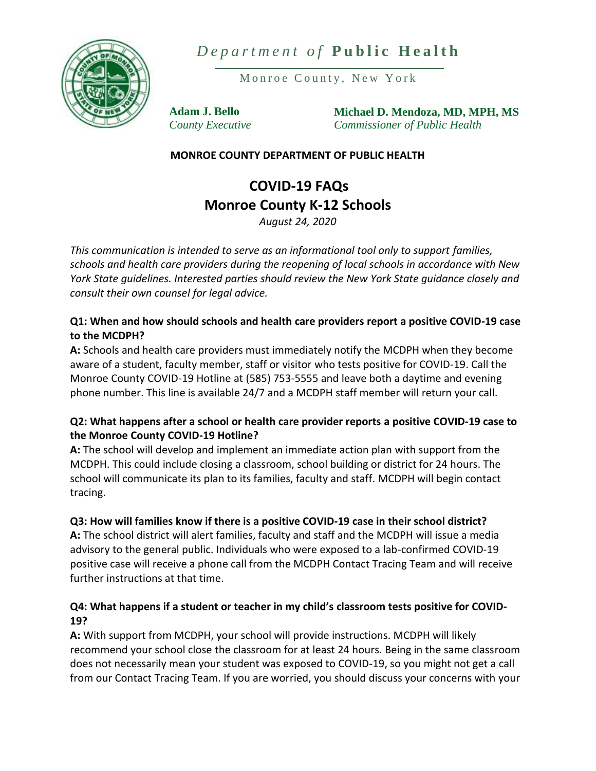



Monroe County, New York

**Adam J. Bello** *County Executive* **Michael D. Mendoza, MD, MPH, MS** *Commissioner of Public Health*

## **MONROE COUNTY DEPARTMENT OF PUBLIC HEALTH**

# **COVID-19 FAQs Monroe County K-12 Schools**

*August 24, 2020*

*This communication is intended to serve as an informational tool only to support families, schools and health care providers during the reopening of local schools in accordance with New York State guidelines. Interested parties should review the New York State guidance closely and consult their own counsel for legal advice.*

## **Q1: When and how should schools and health care providers report a positive COVID-19 case to the MCDPH?**

**A:** Schools and health care providers must immediately notify the MCDPH when they become aware of a student, faculty member, staff or visitor who tests positive for COVID-19. Call the Monroe County COVID-19 Hotline at (585) 753-5555 and leave both a daytime and evening phone number. This line is available 24/7 and a MCDPH staff member will return your call.

# **Q2: What happens after a school or health care provider reports a positive COVID-19 case to the Monroe County COVID-19 Hotline?**

**A:** The school will develop and implement an immediate action plan with support from the MCDPH. This could include closing a classroom, school building or district for 24 hours. The school will communicate its plan to its families, faculty and staff. MCDPH will begin contact tracing.

# **Q3: How will families know if there is a positive COVID-19 case in their school district?**

**A:** The school district will alert families, faculty and staff and the MCDPH will issue a media advisory to the general public. Individuals who were exposed to a lab-confirmed COVID-19 positive case will receive a phone call from the MCDPH Contact Tracing Team and will receive further instructions at that time.

# **Q4: What happens if a student or teacher in my child's classroom tests positive for COVID-19?**

**A:** With support from MCDPH, your school will provide instructions. MCDPH will likely recommend your school close the classroom for at least 24 hours. Being in the same classroom does not necessarily mean your student was exposed to COVID-19, so you might not get a call from our Contact Tracing Team. If you are worried, you should discuss your concerns with your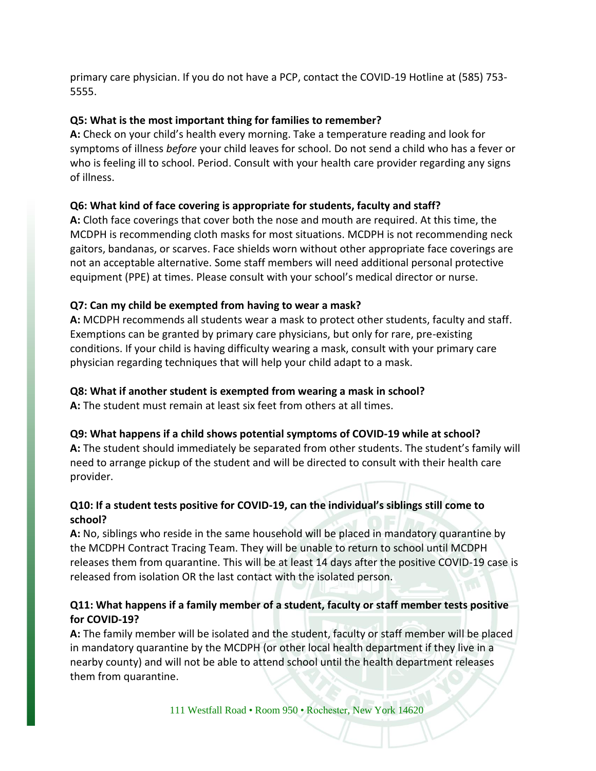primary care physician. If you do not have a PCP, contact the COVID-19 Hotline at (585) 753- 5555.

# **Q5: What is the most important thing for families to remember?**

**A:** Check on your child's health every morning. Take a temperature reading and look for symptoms of illness *before* your child leaves for school. Do not send a child who has a fever or who is feeling ill to school. Period. Consult with your health care provider regarding any signs of illness.

# **Q6: What kind of face covering is appropriate for students, faculty and staff?**

**A:** Cloth face coverings that cover both the nose and mouth are required. At this time, the MCDPH is recommending cloth masks for most situations. MCDPH is not recommending neck gaitors, bandanas, or scarves. Face shields worn without other appropriate face coverings are not an acceptable alternative. Some staff members will need additional personal protective equipment (PPE) at times. Please consult with your school's medical director or nurse.

# **Q7: Can my child be exempted from having to wear a mask?**

**A:** MCDPH recommends all students wear a mask to protect other students, faculty and staff. Exemptions can be granted by primary care physicians, but only for rare, pre-existing conditions. If your child is having difficulty wearing a mask, consult with your primary care physician regarding techniques that will help your child adapt to a mask.

# **Q8: What if another student is exempted from wearing a mask in school?**

**A:** The student must remain at least six feet from others at all times.

## **Q9: What happens if a child shows potential symptoms of COVID-19 while at school?**

**A:** The student should immediately be separated from other students. The student's family will need to arrange pickup of the student and will be directed to consult with their health care provider.

# **Q10: If a student tests positive for COVID-19, can the individual's siblings still come to school?**

**A:** No, siblings who reside in the same household will be placed in mandatory quarantine by the MCDPH Contract Tracing Team. They will be unable to return to school until MCDPH releases them from quarantine. This will be at least 14 days after the positive COVID-19 case is released from isolation OR the last contact with the isolated person.

# **Q11: What happens if a family member of a student, faculty or staff member tests positive for COVID-19?**

**A:** The family member will be isolated and the student, faculty or staff member will be placed in mandatory quarantine by the MCDPH (or other local health department if they live in a nearby county) and will not be able to attend school until the health department releases them from quarantine.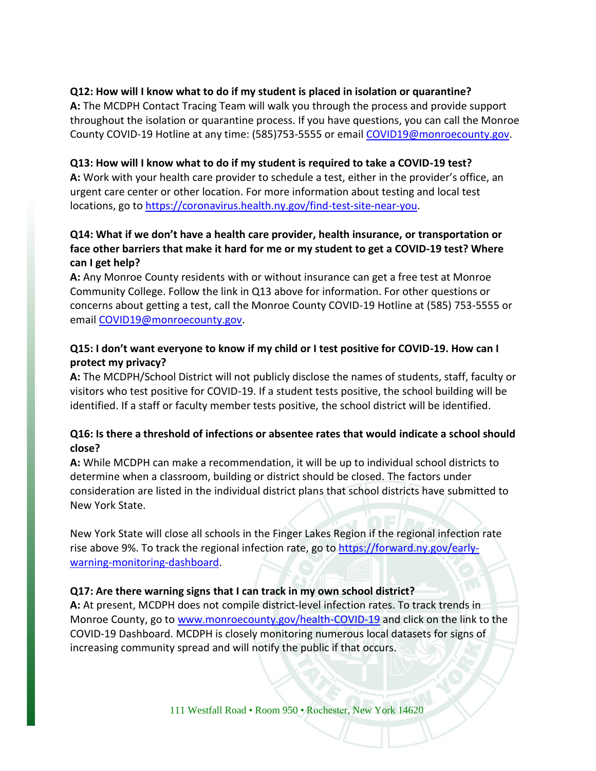#### **Q12: How will I know what to do if my student is placed in isolation or quarantine?**

**A:** The MCDPH Contact Tracing Team will walk you through the process and provide support throughout the isolation or quarantine process. If you have questions, you can call the Monroe County COVID-19 Hotline at any time: (585)753-5555 or email [COVID19@monroecounty.gov.](mailto:COVID19@monroecounty.gov)

#### **Q13: How will I know what to do if my student is required to take a COVID-19 test?**

**A:** Work with your health care provider to schedule a test, either in the provider's office, an urgent care center or other location. For more information about testing and local test locations, go to [https://coronavirus.health.ny.gov/find-test-site-near-you.](https://coronavirus.health.ny.gov/find-test-site-near-you)

# **Q14: What if we don't have a health care provider, health insurance, or transportation or face other barriers that make it hard for me or my student to get a COVID-19 test? Where can I get help?**

**A:** Any Monroe County residents with or without insurance can get a free test at Monroe Community College. Follow the link in Q13 above for information. For other questions or concerns about getting a test, call the Monroe County COVID-19 Hotline at (585) 753-5555 or email [COVID19@monroecounty.gov.](mailto:COVID19@monroecounty.gov)

## **Q15: I don't want everyone to know if my child or I test positive for COVID-19. How can I protect my privacy?**

**A:** The MCDPH/School District will not publicly disclose the names of students, staff, faculty or visitors who test positive for COVID-19. If a student tests positive, the school building will be identified. If a staff or faculty member tests positive, the school district will be identified.

## **Q16: Is there a threshold of infections or absentee rates that would indicate a school should close?**

**A:** While MCDPH can make a recommendation, it will be up to individual school districts to determine when a classroom, building or district should be closed. The factors under consideration are listed in the individual district plans that school districts have submitted to New York State.

New York State will close all schools in the Finger Lakes Region if the regional infection rate rise above 9%. To track the regional infection rate, go to [https://forward.ny.gov/early](https://forward.ny.gov/early-warning-monitoring-dashboard)[warning-monitoring-dashboard.](https://forward.ny.gov/early-warning-monitoring-dashboard)

## **Q17: Are there warning signs that I can track in my own school district?**

**A:** At present, MCDPH does not compile district-level infection rates. To track trends in Monroe County, go to [www.monroecounty.gov/health-COVID-19](http://www.monroecounty.gov/health-COVID-19) and click on the link to the COVID-19 Dashboard. MCDPH is closely monitoring numerous local datasets for signs of increasing community spread and will notify the public if that occurs.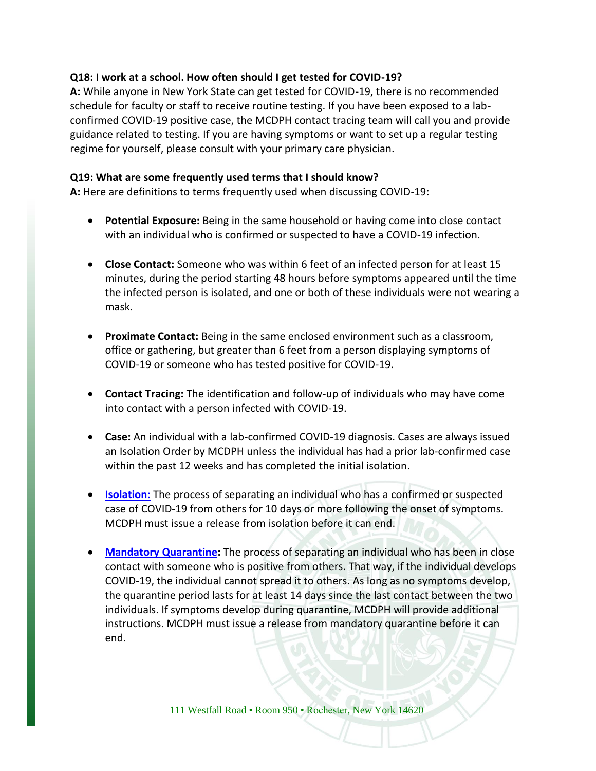#### **Q18: I work at a school. How often should I get tested for COVID-19?**

**A:** While anyone in New York State can get tested for COVID-19, there is no recommended schedule for faculty or staff to receive routine testing. If you have been exposed to a labconfirmed COVID-19 positive case, the MCDPH contact tracing team will call you and provide guidance related to testing. If you are having symptoms or want to set up a regular testing regime for yourself, please consult with your primary care physician.

#### **Q19: What are some frequently used terms that I should know?**

**A:** Here are definitions to terms frequently used when discussing COVID-19:

- **Potential Exposure:** Being in the same household or having come into close contact with an individual who is confirmed or suspected to have a COVID-19 infection.
- **Close Contact:** Someone who was within 6 feet of an infected person for at least 15 minutes, during the period starting 48 hours before symptoms appeared until the time the infected person is isolated, and one or both of these individuals were not wearing a mask.
- **Proximate Contact:** Being in the same enclosed environment such as a classroom, office or gathering, but greater than 6 feet from a person displaying symptoms of COVID-19 or someone who has tested positive for COVID-19.
- **Contact Tracing:** The identification and follow-up of individuals who may have come into contact with a person infected with COVID-19.
- **Case:** An individual with a lab-confirmed COVID-19 diagnosis. Cases are always issued an Isolation Order by MCDPH unless the individual has had a prior lab-confirmed case within the past 12 weeks and has completed the initial isolation.
- **[Isolation:](https://www.cdc.gov/coronavirus/2019-ncov/if-you-are-sick/isolation.html)** The process of separating an individual who has a confirmed or suspected case of COVID-19 from others for 10 days or more following the onset of symptoms. MCDPH must issue a release from isolation before it can end.
- **[Mandatory Quarantine:](https://coronavirus.health.ny.gov/system/files/documents/2020/03/quarantine_guidance_0.pdf)** The process of separating an individual who has been in close contact with someone who is positive from others. That way, if the individual develops COVID-19, the individual cannot spread it to others. As long as no symptoms develop, the quarantine period lasts for at least 14 days since the last contact between the two individuals. If symptoms develop during quarantine, MCDPH will provide additional instructions. MCDPH must issue a release from mandatory quarantine before it can end.